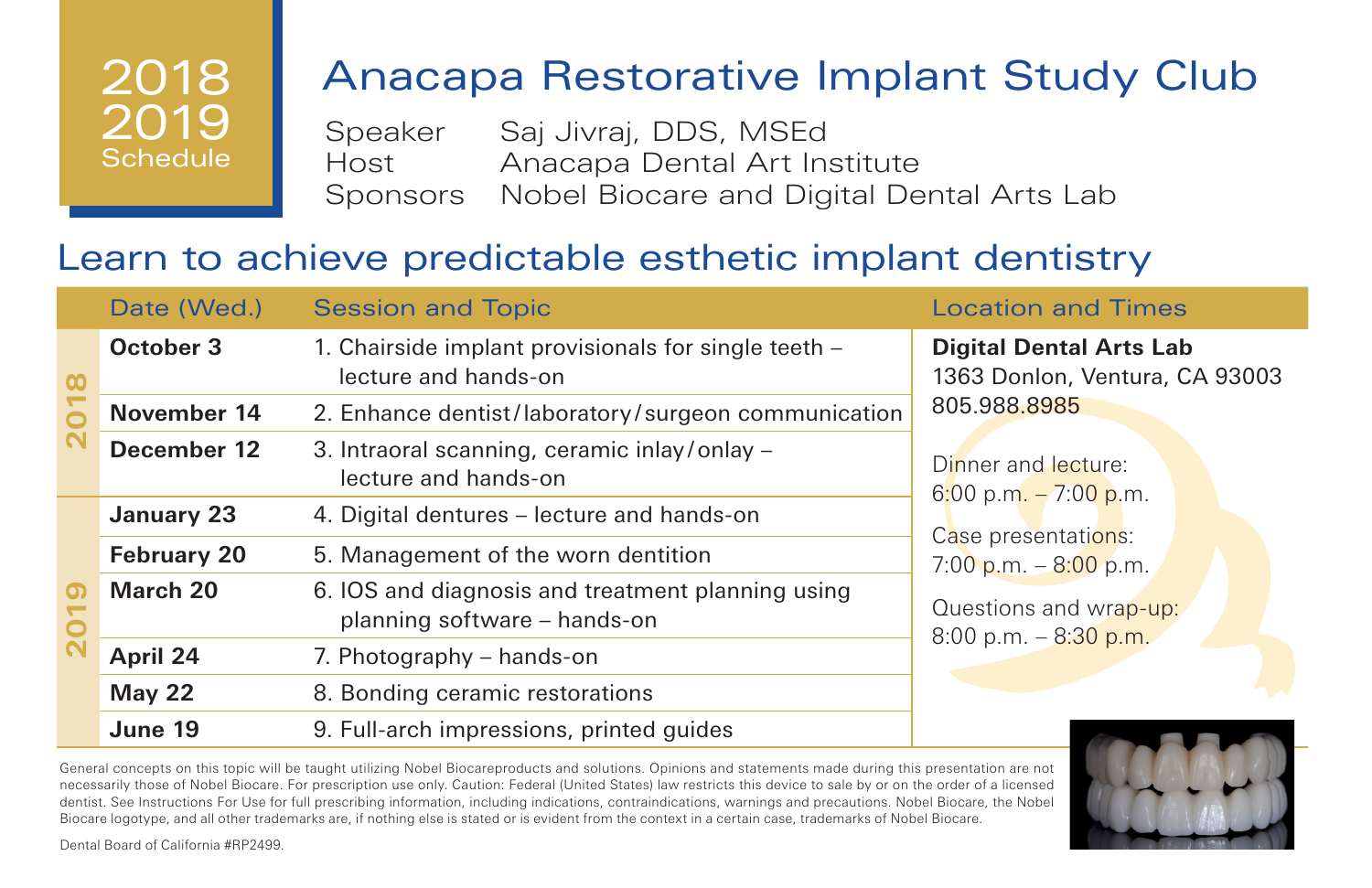# Anacapa Restorative Implant Study Club

Speaker Saj Jivraj, DDS, MSEd Host Anacapa Dental Art Institute Sponsors Nobel Biocare and Digital Dental Arts Lab

## Learn to achieve predictable esthetic implant dentistry

|          | Date (Wed.)        | <b>Session and Topic</b>                                                          | <b>Location and Times</b>                                                                                                                                                                                                               |
|----------|--------------------|-----------------------------------------------------------------------------------|-----------------------------------------------------------------------------------------------------------------------------------------------------------------------------------------------------------------------------------------|
| $\infty$ | October 3          | 1. Chairside implant provisionals for single teeth -<br>lecture and hands-on      | <b>Digital Dental Arts Lab</b><br>1363 Donlon, Ventura, CA 93003<br>805.988.8985<br>Dinner and lecture:<br>6:00 p.m. $-7:00$ p.m.<br>Case presentations:<br>7:00 p.m. $-8:00$ p.m.<br>Questions and wrap-up:<br>8:00 p.m. $-$ 8:30 p.m. |
|          | November 14        | 2. Enhance dentist/laboratory/surgeon communication                               |                                                                                                                                                                                                                                         |
|          | December 12        | 3. Intraoral scanning, ceramic inlay/onlay -<br>lecture and hands-on              |                                                                                                                                                                                                                                         |
| ၜ        | January 23         | 4. Digital dentures – lecture and hands-on                                        |                                                                                                                                                                                                                                         |
|          | <b>February 20</b> | 5. Management of the worn dentition                                               |                                                                                                                                                                                                                                         |
|          | March 20           | 6. IOS and diagnosis and treatment planning using<br>planning software - hands-on |                                                                                                                                                                                                                                         |
|          | April 24           | 7. Photography – hands-on                                                         |                                                                                                                                                                                                                                         |
|          | <b>May 22</b>      | 8. Bonding ceramic restorations                                                   |                                                                                                                                                                                                                                         |
|          | June 19            | 9. Full-arch impressions, printed guides                                          |                                                                                                                                                                                                                                         |



General concepts on this topic will be taught utilizing Nobel Biocareproducts and solutions. Opinions and statements made during this presentation are not necessarily those of Nobel Biocare. For prescription use only. Caution: Federal (United States) law restricts this device to sale by or on the order of a licensed dentist. See Instructions For Use for full prescribing information, including indications, contraindications, warnings and precautions. Nobel Biocare, the Nobel Biocare logotype, and all other trademarks are, if nothing else is stated or is evident from the context in a certain case, trademarks of Nobel Biocare.

Dental Board of California #RP2499.